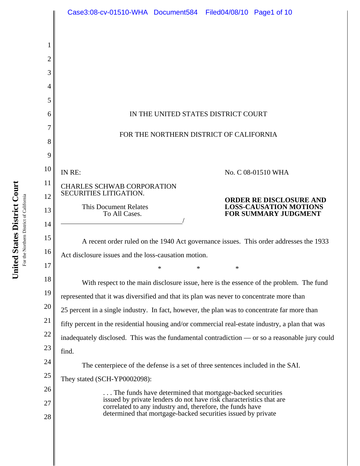|    | Case3:08-cv-01510-WHA Document584 Filed04/08/10 Page1 of 10                                                                      |
|----|----------------------------------------------------------------------------------------------------------------------------------|
|    |                                                                                                                                  |
|    |                                                                                                                                  |
| 2  |                                                                                                                                  |
| 3  |                                                                                                                                  |
| 4  |                                                                                                                                  |
| 5  |                                                                                                                                  |
| 6  | IN THE UNITED STATES DISTRICT COURT                                                                                              |
|    |                                                                                                                                  |
| 8  | FOR THE NORTHERN DISTRICT OF CALIFORNIA                                                                                          |
| 9  |                                                                                                                                  |
| 10 | IN RE:<br>No. C 08-01510 WHA                                                                                                     |
| 11 | <b>CHARLES SCHWAB CORPORATION</b>                                                                                                |
| 12 | SECURITIES LITIGATION.<br><b>ORDER RE DISCLOSURE AND</b>                                                                         |
| 13 | <b>LOSS-CAUSATION MOTIONS</b><br><b>This Document Relates</b><br>To All Cases.<br><b>FOR SUMMARY JUDGMENT</b>                    |
| 14 |                                                                                                                                  |
| 15 | A recent order ruled on the 1940 Act governance issues. This order addresses the 1933                                            |
| 16 | Act disclosure issues and the loss-causation motion.                                                                             |
| 17 | *<br>*<br>*                                                                                                                      |
| 18 | With respect to the main disclosure issue, here is the essence of the problem. The fund                                          |
| 19 | represented that it was diversified and that its plan was never to concentrate more than                                         |
| 20 | 25 percent in a single industry. In fact, however, the plan was to concentrate far more than                                     |
| 21 | fifty percent in the residential housing and/or commercial real-estate industry, a plan that was                                 |
| 22 | inadequately disclosed. This was the fundamental contradiction - or so a reasonable jury could                                   |
| 23 | find.                                                                                                                            |
| 24 | The centerpiece of the defense is a set of three sentences included in the SAI.                                                  |
| 25 | They stated (SCH-YP0002098):                                                                                                     |
| 26 | The funds have determined that mortgage-backed securities                                                                        |
| 27 | issued by private lenders do not have risk characteristics that are<br>correlated to any industry and, therefore, the funds have |
| 28 | determined that mortgage-backed securities issued by private                                                                     |
|    |                                                                                                                                  |

United States District Court **United States District Court** For the Northern District of California For the Northern District of California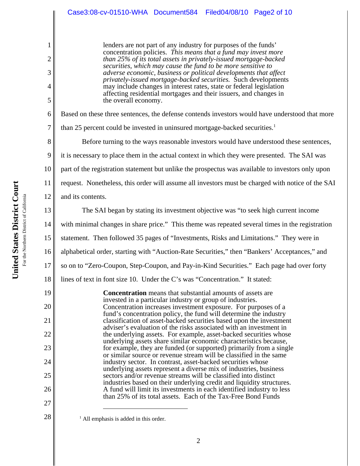lenders are not part of any industry for purposes of the funds' concentration policies. *This means that a fund may invest more than 25% of its total assets in privately-issued mortgage-backed securities, which may cause the fund to be more sensitive to adverse economic, business or political developments that affect privately-issued mortgage-backed securities.* Such developments may include changes in interest rates, state or federal legislation affecting residential mortgages and their issuers, and changes in the overall economy.

Based on these three sentences, the defense contends investors would have understood that more

than 25 percent could be invested in uninsured mortgage-backed securities.<sup>1</sup>

Before turning to the ways reasonable investors would have understood these sentences,

9 it is necessary to place them in the actual context in which they were presented. The SAI was

10 part of the registration statement but unlike the prospectus was available to investors only upon

11 12 request. Nonetheless, this order will assume all investors must be charged with notice of the SAI and its contents.

The SAI began by stating its investment objective was "to seek high current income

with minimal changes in share price." This theme was repeated several times in the registration

15 statement. Then followed 35 pages of "Investments, Risks and Limitations." They were in

16 alphabetical order, starting with "Auction-Rate Securities," then "Bankers' Acceptances," and

17 so on to "Zero-Coupon, Step-Coupon, and Pay-in-Kind Securities." Each page had over forty

18 lines of text in font size 10. Under the C's was "Concentration." It stated:

> **Concentration** means that substantial amounts of assets are invested in a particular industry or group of industries. Concentration increases investment exposure. For purposes of a fund's concentration policy, the fund will determine the industry classification of asset-backed securities based upon the investment adviser's evaluation of the risks associated with an investment in the underlying assets. For example, asset-backed securities whose underlying assets share similar economic characteristics because, for example, they are funded (or supported) primarily from a single or similar source or revenue stream will be classified in the same industry sector. In contrast, asset-backed securities whose underlying assets represent a diverse mix of industries, business sectors and/or revenue streams will be classified into distinct industries based on their underlying credit and liquidity structures. A fund will limit its investments in each identified industry to less than 25% of its total assets. Each of the Tax-Free Bond Funds

 $<sup>1</sup>$  All emphasis is added in this order.</sup>

1

2

3

4

5

6

7

8

13

14

19

20

21

22

23

24

25

26

27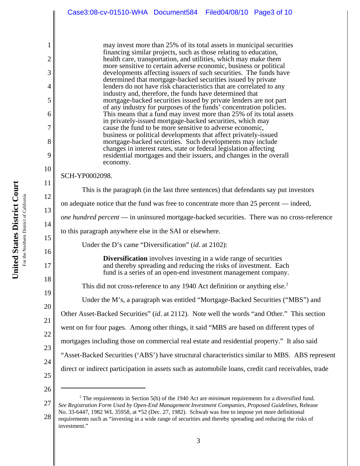|                | Case3:08-cv-01510-WHA Document584 Filed04/08/10 Page3 of 10                                                                                                                                                   |
|----------------|---------------------------------------------------------------------------------------------------------------------------------------------------------------------------------------------------------------|
|                |                                                                                                                                                                                                               |
| 1              | may invest more than 25% of its total assets in municipal securities                                                                                                                                          |
| $\overline{2}$ | financing similar projects, such as those relating to education,<br>health care, transportation, and utilities, which may make them                                                                           |
| 3              | more sensitive to certain adverse economic, business or political<br>developments affecting issuers of such securities. The funds have                                                                        |
| 4              | determined that mortgage-backed securities issued by private<br>lenders do not have risk characteristics that are correlated to any                                                                           |
| 5              | industry and, therefore, the funds have determined that<br>mortgage-backed securities issued by private lenders are not part                                                                                  |
| 6              | of any industry for purposes of the funds' concentration policies.<br>This means that a fund may invest more than 25% of its total assets                                                                     |
| 7              | in privately-issued mortgage-backed securities, which may<br>cause the fund to be more sensitive to adverse economic,                                                                                         |
| 8              | business or political developments that affect privately-issued<br>mortgage-backed securities. Such developments may include                                                                                  |
| 9              | changes in interest rates, state or federal legislation affecting<br>residential mortgages and their issuers, and changes in the overall                                                                      |
| 10             | economy.                                                                                                                                                                                                      |
| 11             | SCH-YP0002098.                                                                                                                                                                                                |
| 12             | This is the paragraph (in the last three sentences) that defendants say put investors                                                                                                                         |
| 13             | on adequate notice that the fund was free to concentrate more than 25 percent — indeed,                                                                                                                       |
| 14             | <i>one hundred percent</i> — in uninsured mortgage-backed securities. There was no cross-reference                                                                                                            |
| 15             | to this paragraph anywhere else in the SAI or elsewhere.                                                                                                                                                      |
| 16             | Under the D's came "Diversification" (id. at 2102):                                                                                                                                                           |
| 17             | <b>Diversification</b> involves investing in a wide range of securities<br>and thereby spreading and reducing the risks of investment. Each<br>fund is a series of an open-end investment management company. |
| 18             | This did not cross-reference to any 1940 Act definition or anything else. <sup>2</sup>                                                                                                                        |
| 19             | Under the M's, a paragraph was entitled "Mortgage-Backed Securities ("MBS") and                                                                                                                               |
| 20             | Other Asset-Backed Securities" (id. at 2112). Note well the words "and Other." This section                                                                                                                   |
| 21             | went on for four pages. Among other things, it said "MBS are based on different types of                                                                                                                      |
| 22             | mortgages including those on commercial real estate and residential property." It also said                                                                                                                   |
| 23             | "Asset-Backed Securities ('ABS') have structural characteristics similar to MBS. ABS represent                                                                                                                |
| 24             | direct or indirect participation in assets such as automobile loans, credit card receivables, trade                                                                                                           |
| 25             |                                                                                                                                                                                                               |
| 26             | $2$ The requirements in Section 5(b) of the 1940 Act are <i>minimum</i> requirements for a diversified fund.                                                                                                  |
| 27             | See Registration Form Used by Open-End Management Investment Companies, Proposed Guidelines, Release<br>No. 33-6447, 1982 WL 35958, at *52 (Dec. 27, 1982). Schwab was free to impose yet more definitional   |
| 28             | requirements such as "investing in a wide range of securities and thereby spreading and reducing the risks of                                                                                                 |

investment."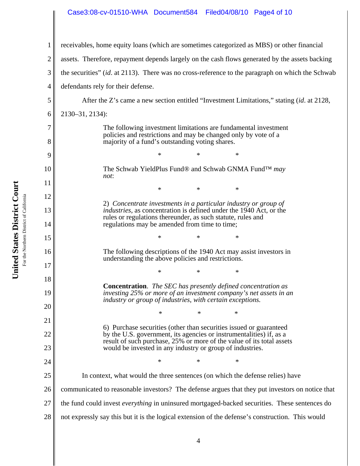### Case3:08-cv-01510-WHA Document584 Filed04/08/10 Page4 of 10

1 2 3 4 5 6 7 8 9 10 11 12 13 14 15 16 17 18 19 20 21 22 23 24 25 26 27 28 receivables, home equity loans (which are sometimes categorized as MBS) or other financial assets. Therefore, repayment depends largely on the cash flows generated by the assets backing the securities" (*id*. at 2113). There was no cross-reference to the paragraph on which the Schwab defendants rely for their defense. After the Z's came a new section entitled "Investment Limitations," stating (*id*. at 2128, 2130–31, 2134): The following investment limitations are fundamental investment policies and restrictions and may be changed only by vote of a majority of a fund's outstanding voting shares. \* \* \* The Schwab YieldPlus Fund® and Schwab GNMA Fund™ *may not*: \* \* \* 2) *Concentrate investments in a particular industry or group of industries*, as concentration is defined under the 1940 Act, or the rules or regulations thereunder, as such statute, rules and regulations may be amended from time to time; \* \* \* The following descriptions of the 1940 Act may assist investors in understanding the above policies and restrictions. \* \* \* **Concentration**. *The SEC has presently defined concentration as investing 25% or more of an investment company's net assets in an industry or group of industries*, *with certain exceptions.* \* \* \* 6) Purchase securities (other than securities issued or guaranteed by the U.S. government, its agencies or instrumentalities) if, as a result of such purchase, 25% or more of the value of its total assets would be invested in any industry or group of industries. \* \* \* In context, what would the three sentences (on which the defense relies) have communicated to reasonable investors? The defense argues that they put investors on notice that the fund could invest *everything* in uninsured mortgaged-backed securities. These sentences do not expressly say this but it is the logical extension of the defense's construction. This would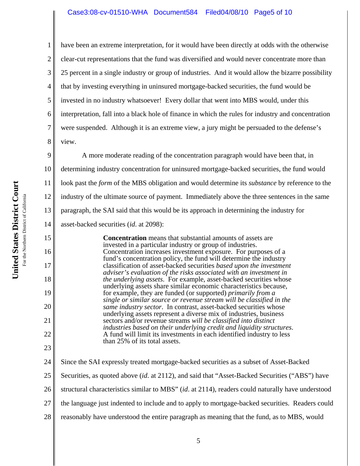# Case3:08-cv-01510-WHA Document584 Filed04/08/10 Page5 of 10

have been an extreme interpretation, for it would have been directly at odds with the otherwise clear-cut representations that the fund was diversified and would never concentrate more than 25 percent in a single industry or group of industries. And it would allow the bizarre possibility that by investing everything in uninsured mortgage-backed securities, the fund would be invested in no industry whatsoever! Every dollar that went into MBS would, under this interpretation, fall into a black hole of finance in which the rules for industry and concentration were suspended. Although it is an extreme view, a jury might be persuaded to the defense's view.

9 10 11 12 13 14 A more moderate reading of the concentration paragraph would have been that, in determining industry concentration for uninsured mortgage-backed securities, the fund would look past the *form* of the MBS obligation and would determine its *substance* by reference to the industry of the ultimate source of payment. Immediately above the three sentences in the same paragraph, the SAI said that this would be its approach in determining the industry for asset-backed securities (*id*. at 2098):

**Concentration** means that substantial amounts of assets are invested in a particular industry or group of industries. Concentration increases investment exposure. For purposes of a fund's concentration policy, the fund will determine the industry classification of asset-backed securities *based upon the investment adviser's evaluation of the risks associated with an investment in the underlying assets*. For example, asset-backed securities whose underlying assets share similar economic characteristics because, for example, they are funded (or supported) *primarily from a single or similar source or revenue stream will be classified in the same industry sector*. In contrast, asset-backed securities whose underlying assets represent a diverse mix of industries, business sectors and/or revenue streams *will be classified into distinct industries based on their underlying credit and liquidity structures*. A fund will limit its investments in each identified industry to less than 25% of its total assets.

24 25 26 27 28 Since the SAI expressly treated mortgage-backed securities as a subset of Asset-Backed Securities, as quoted above (*id*. at 2112), and said that "Asset-Backed Securities ("ABS") have structural characteristics similar to MBS" (*id*. at 2114), readers could naturally have understood the language just indented to include and to apply to mortgage-backed securities. Readers could reasonably have understood the entire paragraph as meaning that the fund, as to MBS, would

1

2

3

4

5

6

7

8

15

16

17

18

19

20

21

22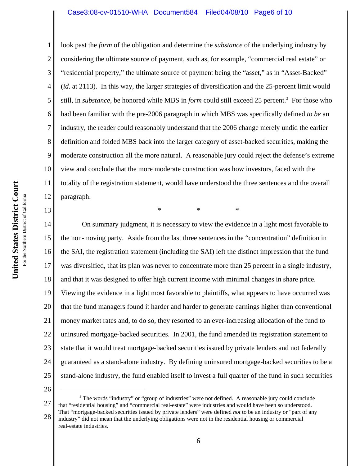### Case3:08-cv-01510-WHA Document584 Filed04/08/10 Page6 of 10

look past the *form* of the obligation and determine the *substance* of the underlying industry by considering the ultimate source of payment, such as, for example, "commercial real estate" or "residential property," the ultimate source of payment being the "asset," as in "Asset-Backed" (*id*. at 2113). In this way, the larger strategies of diversification and the 25-percent limit would still, in *substance*, be honored while MBS in *form* could still exceed 25 percent.<sup>3</sup> For those who had been familiar with the pre-2006 paragraph in which MBS was specifically defined *to be* an industry, the reader could reasonably understand that the 2006 change merely undid the earlier definition and folded MBS back into the larger category of asset-backed securities, making the moderate construction all the more natural. A reasonable jury could reject the defense's extreme view and conclude that the more moderate construction was how investors, faced with the totality of the registration statement, would have understood the three sentences and the overall paragraph.

\* \* \*

14 15 16 17 18 19 20 21 22 23 24 25 On summary judgment, it is necessary to view the evidence in a light most favorable to the non-moving party. Aside from the last three sentences in the "concentration" definition in the SAI, the registration statement (including the SAI) left the distinct impression that the fund was diversified, that its plan was never to concentrate more than 25 percent in a single industry, and that it was designed to offer high current income with minimal changes in share price. Viewing the evidence in a light most favorable to plaintiffs, what appears to have occurred was that the fund managers found it harder and harder to generate earnings higher than conventional money market rates and, to do so, they resorted to an ever-increasing allocation of the fund to uninsured mortgage-backed securities. In 2001, the fund amended its registration statement to state that it would treat mortgage-backed securities issued by private lenders and not federally guaranteed as a stand-alone industry. By defining uninsured mortgage-backed securities to be a stand-alone industry, the fund enabled itself to invest a full quarter of the fund in such securities

26

27 28 <sup>3</sup> The words "industry" or "group of industries" were not defined. A reasonable jury could conclude that "residential housing" and "commercial real-estate" were industries and would have been so understood. That "mortgage-backed securities issued by private lenders" were defined *not* to be an industry or "part of any industry" did not mean that the underlying obligations were not in the residential housing or commercial real-estate industries.

1

2

3

4

5

6

7

8

9

10

11

12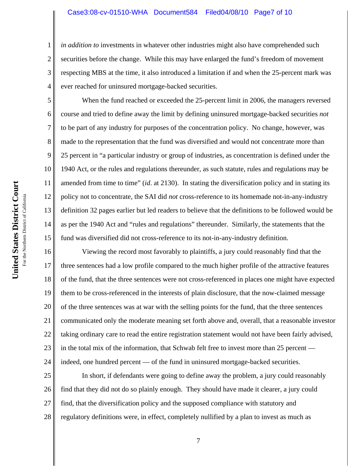#### Case3:08-cv-01510-WHA Document584 Filed04/08/10 Page7 of 10

*in addition to* investments in whatever other industries might also have comprehended such securities before the change. While this may have enlarged the fund's freedom of movement respecting MBS at the time, it also introduced a limitation if and when the 25-percent mark was ever reached for uninsured mortgage-backed securities.

When the fund reached or exceeded the 25-percent limit in 2006, the managers reversed course and tried to define away the limit by defining uninsured mortgage-backed securities *not* to be part of any industry for purposes of the concentration policy. No change, however, was made to the representation that the fund was diversified and would not concentrate more than 25 percent in "a particular industry or group of industries, as concentration is defined under the 1940 Act, or the rules and regulations thereunder, as such statute, rules and regulations may be amended from time to time" (*id*. at 2130). In stating the diversification policy and in stating its policy not to concentrate, the SAI did *not* cross-reference to its homemade not-in-any-industry definition 32 pages earlier but led readers to believe that the definitions to be followed would be as per the 1940 Act and "rules and regulations" thereunder. Similarly, the statements that the fund was diversified did not cross-reference to its not-in-any-industry definition.

16 17 18 19 20 21 22 23 24 Viewing the record most favorably to plaintiffs, a jury could reasonably find that the three sentences had a low profile compared to the much higher profile of the attractive features of the fund, that the three sentences were not cross-referenced in places one might have expected them to be cross-referenced in the interests of plain disclosure, that the now-claimed message of the three sentences was at war with the selling points for the fund, that the three sentences communicated only the moderate meaning set forth above and, overall, that a reasonable investor taking ordinary care to read the entire registration statement would not have been fairly advised, in the total mix of the information, that Schwab felt free to invest more than 25 percent indeed, one hundred percent — of the fund in uninsured mortgage-backed securities.

25 26 27 28 In short, if defendants were going to define away the problem, a jury could reasonably find that they did not do so plainly enough. They should have made it clearer, a jury could find, that the diversification policy and the supposed compliance with statutory and regulatory definitions were, in effect, completely nullified by a plan to invest as much as

1

2

3

4

5

6

7

8

9

10

11

12

13

14

15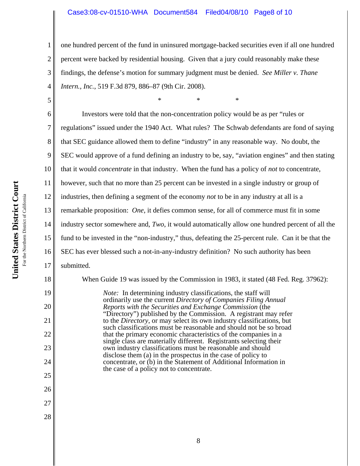## Case3:08-cv-01510-WHA Document584 Filed04/08/10 Page8 of 10

one hundred percent of the fund in uninsured mortgage-backed securities even if all one hundred percent were backed by residential housing. Given that a jury could reasonably make these findings, the defense's motion for summary judgment must be denied. *See Miller v. Thane Intern., Inc.*, 519 F.3d 879, 886–87 (9th Cir. 2008).

\* \* \*

6 7 8 9 10 11 12 13 14 15 16 17 18 19 20 21 Investors were told that the non-concentration policy would be as per "rules or regulations" issued under the 1940 Act. What rules? The Schwab defendants are fond of saying that SEC guidance allowed them to define "industry" in any reasonable way. No doubt, the SEC would approve of a fund defining an industry to be, say, "aviation engines" and then stating that it would *concentrate* in that industry. When the fund has a policy of *not* to concentrate, however, such that no more than 25 percent can be invested in a single industry or group of industries, then defining a segment of the economy *not* to be in any industry at all is a remarkable proposition: *One*, it defies common sense, for all of commerce must fit in some industry sector somewhere and, *Two*, it would automatically allow one hundred percent of all the fund to be invested in the "non-industry," thus, defeating the 25-percent rule. Can it be that the SEC has ever blessed such a not-in-any-industry definition? No such authority has been submitted. When Guide 19 was issued by the Commission in 1983, it stated (48 Fed. Reg. 37962): *Note:* In determining industry classifications, the staff will ordinarily use the current *Directory of Companies Filing Annual Reports with the Securities and Exchange Commission* (the "Directory") published by the Commission. A registrant may refer to the *Directory*, or may select its own industry classifications, but

such classifications must be reasonable and should not be so broad that the primary economic characteristics of the companies in a single class are materially different. Registrants selecting their own industry classifications must be reasonable and should disclose them (a) in the prospectus in the case of policy to concentrate, or (b) in the Statement of Additional Information in

the case of a policy not to concentrate.

22

23

24

25

26

27

28

1

2

3

4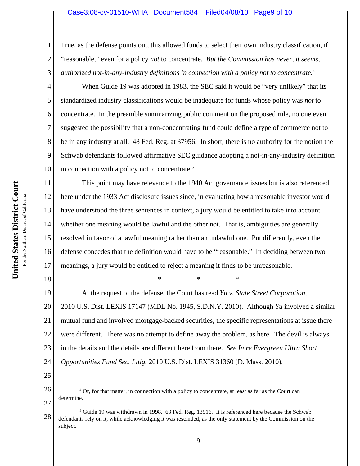#### Case3:08-cv-01510-WHA Document584 Filed04/08/10 Page9 of 10

True, as the defense points out, this allowed funds to select their own industry classification, if "reasonable," even for a policy *not* to concentrate. *But the Commission has never, it seems, authorized not-in-any-industry definitions in connection with a policy not to concentrate.*<sup>4</sup>

When Guide 19 was adopted in 1983, the SEC said it would be "very unlikely" that its standardized industry classifications would be inadequate for funds whose policy was *not* to concentrate. In the preamble summarizing public comment on the proposed rule, no one even suggested the possibility that a non-concentrating fund could define a type of commerce not to be in any industry at all. 48 Fed. Reg. at 37956. In short, there is no authority for the notion the Schwab defendants followed affirmative SEC guidance adopting a not-in-any-industry definition in connection with a policy not to concentrate.<sup>5</sup>

11 12 13 14 15 16 17 This point may have relevance to the 1940 Act governance issues but is also referenced here under the 1933 Act disclosure issues since, in evaluating how a reasonable investor would have understood the three sentences in context, a jury would be entitled to take into account whether one meaning would be lawful and the other not. That is, ambiguities are generally resolved in favor of a lawful meaning rather than an unlawful one. Put differently, even the defense concedes that the definition would have to be "reasonable." In deciding between two meanings, a jury would be entitled to reject a meaning it finds to be unreasonable.

\* \* \*

19 20 21 22 23 24 At the request of the defense, the Court has read *Yu v. State Street Corporation*, 2010 U.S. Dist. LEXIS 17147 (MDL No. 1945, S.D.N.Y. 2010). Although *Yu* involved a similar mutual fund and involved mortgage-backed securities, the specific representations at issue there were different. There was no attempt to define away the problem, as here. The devil is always in the details and the details are different here from there. *See In re Evergreen Ultra Short Opportunities Fund Sec. Litig.* 2010 U.S. Dist. LEXIS 31360 (D. Mass. 2010).

25

27

18

1

2

3

4

5

6

7

8

9

<sup>26</sup> <sup>4</sup> Or, for that matter, in connection with a policy to concentrate, at least as far as the Court can determine.

<sup>28</sup>  $<sup>5</sup>$  Guide 19 was withdrawn in 1998. 63 Fed. Reg. 13916. It is referenced here because the Schwab</sup> defendants rely on it, while acknowledging it was rescinded, as the only statement by the Commission on the subject.